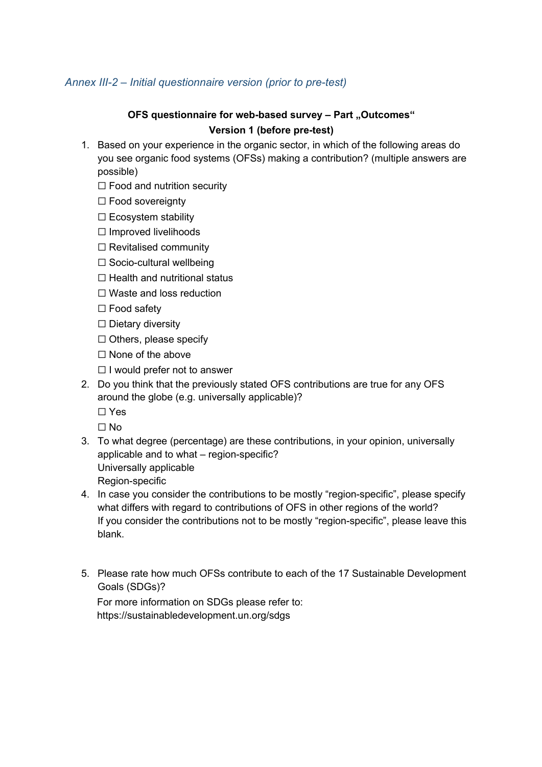## *Annex III-2 – Initial questionnaire version (prior to pre-test)*

## **OFS questionnaire for web-based survey - Part "Outcomes" Version 1 (before pre-test)**

- 1. Based on your experience in the organic sector, in which of the following areas do you see organic food systems (OFSs) making a contribution? (multiple answers are possible)
	- $\Box$  Food and nutrition security
	- ☐ Food sovereignty
	- $\Box$  Ecosystem stability
	- ☐ Improved livelihoods
	- $\Box$  Revitalised community
	- ☐ Socio-cultural wellbeing
	- ☐ Health and nutritional status
	- ☐ Waste and loss reduction
	- □ Food safety
	- ☐ Dietary diversity
	- ☐ Others, please specify
	- ☐ None of the above
	- $\Box$  I would prefer not to answer
- 2. Do you think that the previously stated OFS contributions are true for any OFS around the globe (e.g. universally applicable)? ☐ Yes
	- $\Box$  No
- 3. To what degree (percentage) are these contributions, in your opinion, universally applicable and to what – region-specific? Universally applicable Region-specific
- 4. In case you consider the contributions to be mostly "region-specific", please specify what differs with regard to contributions of OFS in other regions of the world? If you consider the contributions not to be mostly "region-specific", please leave this blank.
- 5. Please rate how much OFSs contribute to each of the 17 Sustainable Development Goals (SDGs)?

For more information on SDGs please refer to: https://sustainabledevelopment.un.org/sdgs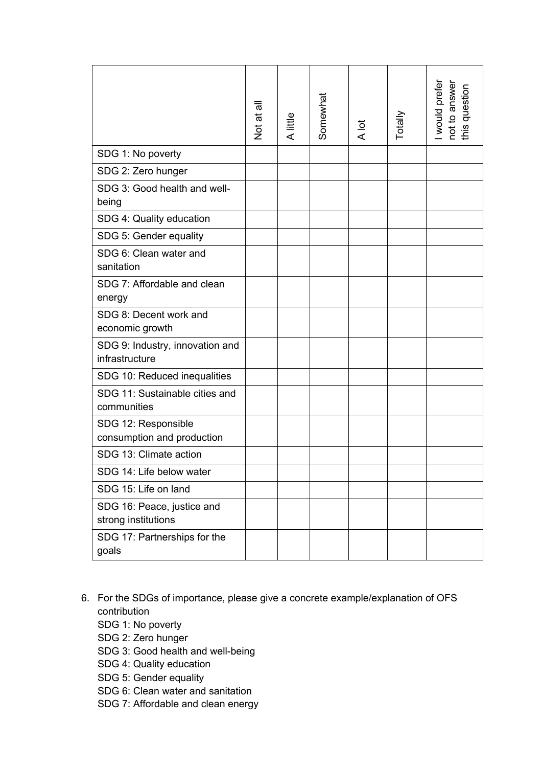|                                                   | Not at all | A little | Somewhat | A lot | Totally | I would prefer<br>not to answer<br>this question |
|---------------------------------------------------|------------|----------|----------|-------|---------|--------------------------------------------------|
| SDG 1: No poverty                                 |            |          |          |       |         |                                                  |
| SDG 2: Zero hunger                                |            |          |          |       |         |                                                  |
| SDG 3: Good health and well-<br>being             |            |          |          |       |         |                                                  |
| SDG 4: Quality education                          |            |          |          |       |         |                                                  |
| SDG 5: Gender equality                            |            |          |          |       |         |                                                  |
| SDG 6: Clean water and<br>sanitation              |            |          |          |       |         |                                                  |
| SDG 7: Affordable and clean<br>energy             |            |          |          |       |         |                                                  |
| SDG 8: Decent work and<br>economic growth         |            |          |          |       |         |                                                  |
| SDG 9: Industry, innovation and<br>infrastructure |            |          |          |       |         |                                                  |
| SDG 10: Reduced inequalities                      |            |          |          |       |         |                                                  |
| SDG 11: Sustainable cities and<br>communities     |            |          |          |       |         |                                                  |
| SDG 12: Responsible<br>consumption and production |            |          |          |       |         |                                                  |
| SDG 13: Climate action                            |            |          |          |       |         |                                                  |
| SDG 14: Life below water                          |            |          |          |       |         |                                                  |
| SDG 15: Life on land                              |            |          |          |       |         |                                                  |
| SDG 16: Peace, justice and<br>strong institutions |            |          |          |       |         |                                                  |
| SDG 17: Partnerships for the<br>goals             |            |          |          |       |         |                                                  |

- 6. For the SDGs of importance, please give a concrete example/explanation of OFS contribution
	- SDG 1: No poverty
	- SDG 2: Zero hunger
	- SDG 3: Good health and well-being
	- SDG 4: Quality education
	- SDG 5: Gender equality
	- SDG 6: Clean water and sanitation
	- SDG 7: Affordable and clean energy